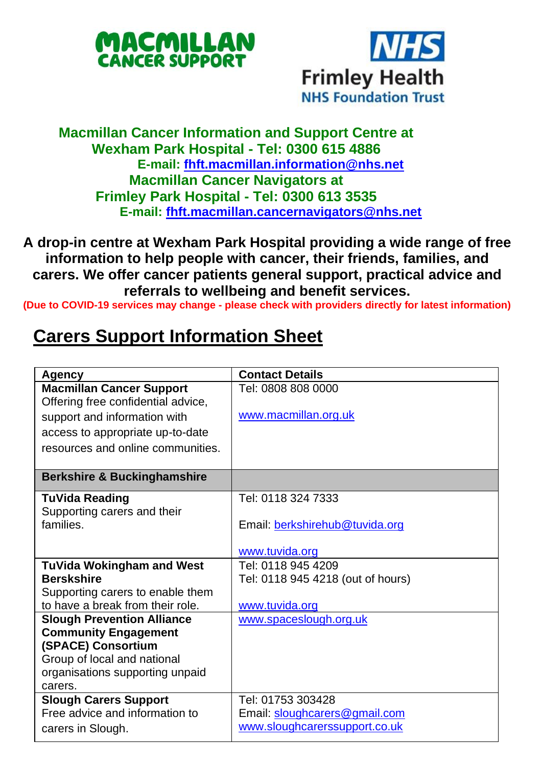



## **Macmillan Cancer Information and Support Centre at Wexham Park Hospital - Tel: 0300 615 4886 E-mail: [fhft.macmillan.information@nhs.net](mailto:fhft.macmillan.information@nhs.net) Macmillan Cancer Navigators at Frimley Park Hospital - Tel: 0300 613 3535 E-mail: [fhft.macmillan.cancernavigators@nhs.net](mailto:fhft.macmillan.cancernavigators@nhs.net)**

**A drop-in centre at Wexham Park Hospital providing a wide range of free information to help people with cancer, their friends, families, and carers. We offer cancer patients general support, practical advice and referrals to wellbeing and benefit services.**

**(Due to COVID-19 services may change - please check with providers directly for latest information)**

## **Carers Support Information Sheet**

| Agency                                                                | <b>Contact Details</b>            |
|-----------------------------------------------------------------------|-----------------------------------|
| <b>Macmillan Cancer Support</b><br>Offering free confidential advice, | Tel: 0808 808 0000                |
| support and information with                                          | www.macmillan.org.uk              |
| access to appropriate up-to-date                                      |                                   |
| resources and online communities.                                     |                                   |
| <b>Berkshire &amp; Buckinghamshire</b>                                |                                   |
| TuVida Reading                                                        | Tel: 0118 324 7333                |
| Supporting carers and their                                           |                                   |
| families.                                                             | Email: berkshirehub@tuvida.org    |
|                                                                       | www.tuvida.org                    |
|                                                                       | Tel: 0118 945 4209                |
| TuVida Wokingham and West<br><b>Berskshire</b>                        |                                   |
|                                                                       | Tel: 0118 945 4218 (out of hours) |
| Supporting carers to enable them                                      |                                   |
| to have a break from their role.                                      | www.tuvida.org                    |
| <b>Slough Prevention Alliance</b>                                     | www.spaceslough.org.uk            |
| <b>Community Engagement</b>                                           |                                   |
| (SPACE) Consortium                                                    |                                   |
| Group of local and national                                           |                                   |
| organisations supporting unpaid                                       |                                   |
| carers.                                                               |                                   |
| <b>Slough Carers Support</b>                                          | Tel: 01753 303428                 |
| Free advice and information to                                        | Email: sloughcarers@gmail.com     |
| carers in Slough.                                                     | www.sloughcarerssupport.co.uk     |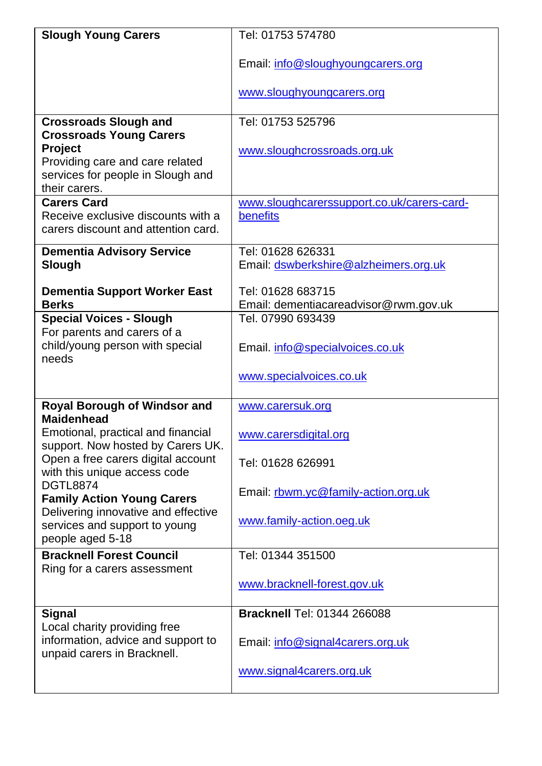| <b>Slough Young Carers</b>                                                                                                                | Tel: 01753 574780                                          |
|-------------------------------------------------------------------------------------------------------------------------------------------|------------------------------------------------------------|
|                                                                                                                                           | Email: info@sloughyoungcarers.org                          |
|                                                                                                                                           | www.sloughyoungcarers.org                                  |
| <b>Crossroads Slough and</b>                                                                                                              | Tel: 01753 525796                                          |
| <b>Crossroads Young Carers</b><br><b>Project</b><br>Providing care and care related<br>services for people in Slough and<br>their carers. | www.sloughcrossroads.org.uk                                |
| <b>Carers Card</b>                                                                                                                        | www.sloughcarerssupport.co.uk/carers-card-                 |
| Receive exclusive discounts with a<br>carers discount and attention card.                                                                 | benefits                                                   |
| <b>Dementia Advisory Service</b><br>Slough                                                                                                | Tel: 01628 626331<br>Email: dswberkshire@alzheimers.org.uk |
| <b>Dementia Support Worker East</b>                                                                                                       | Tel: 01628 683715                                          |
| <b>Berks</b>                                                                                                                              | Email: dementiacareadvisor@rwm.gov.uk                      |
| <b>Special Voices - Slough</b>                                                                                                            | Tel. 07990 693439                                          |
| For parents and carers of a                                                                                                               |                                                            |
| child/young person with special<br>needs                                                                                                  | Email. info@specialvoices.co.uk                            |
|                                                                                                                                           | www.specialvoices.co.uk                                    |
| Royal Borough of Windsor and                                                                                                              | www.carersuk.org                                           |
| <b>Maidenhead</b><br>Emotional, practical and financial<br>support. Now hosted by Carers UK.                                              | www.carersdigital.org                                      |
| Open a free carers digital account<br>with this unique access code                                                                        | Tel: 01628 626991                                          |
| <b>DGTL8874</b><br><b>Family Action Young Carers</b><br>Delivering innovative and effective                                               | Email: rbwm.yc@family-action.org.uk                        |
| services and support to young<br>people aged 5-18                                                                                         | www.family-action.oeg.uk                                   |
| <b>Bracknell Forest Council</b><br>Ring for a carers assessment                                                                           | Tel: 01344 351500                                          |
|                                                                                                                                           | www.bracknell-forest.gov.uk                                |
| <b>Signal</b><br>Local charity providing free                                                                                             | Bracknell Tel: 01344 266088                                |
| information, advice and support to<br>unpaid carers in Bracknell.                                                                         | Email: info@signal4carers.org.uk                           |
|                                                                                                                                           | www.signal4carers.org.uk                                   |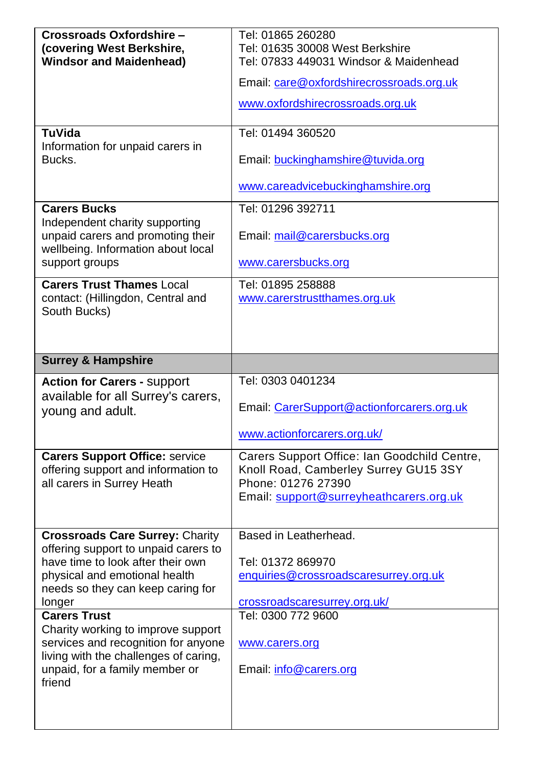| Crossroads Oxfordshire-<br>(covering West Berkshire,<br><b>Windsor and Maidenhead)</b>                                                                                                                                                                                                                                                                                                       | Tel: 01865 260280<br>Tel: 01635 30008 West Berkshire<br>Tel: 07833 449031 Windsor & Maidenhead<br>Email: care@oxfordshirecrossroads.org.uk<br>www.oxfordshirecrossroads.org.uk        |
|----------------------------------------------------------------------------------------------------------------------------------------------------------------------------------------------------------------------------------------------------------------------------------------------------------------------------------------------------------------------------------------------|---------------------------------------------------------------------------------------------------------------------------------------------------------------------------------------|
| TuVida<br>Information for unpaid carers in<br>Bucks.                                                                                                                                                                                                                                                                                                                                         | Tel: 01494 360520<br>Email: buckinghamshire@tuvida.org<br>www.careadvicebuckinghamshire.org                                                                                           |
| <b>Carers Bucks</b><br>Independent charity supporting<br>unpaid carers and promoting their<br>wellbeing. Information about local<br>support groups                                                                                                                                                                                                                                           | Tel: 01296 392711<br>Email: mail@carersbucks.org<br>www.carersbucks.org                                                                                                               |
| <b>Carers Trust Thames Local</b><br>contact: (Hillingdon, Central and<br>South Bucks)                                                                                                                                                                                                                                                                                                        | Tel: 01895 258888<br>www.carerstrustthames.org.uk                                                                                                                                     |
| <b>Surrey &amp; Hampshire</b>                                                                                                                                                                                                                                                                                                                                                                |                                                                                                                                                                                       |
| <b>Action for Carers - support</b><br>available for all Surrey's carers,<br>young and adult.                                                                                                                                                                                                                                                                                                 | Tel: 0303 0401234<br>Email: CarerSupport@actionforcarers.org.uk<br>www.actionforcarers.org.uk/                                                                                        |
| <b>Carers Support Office: service</b><br>offering support and information to<br>all carers in Surrey Heath                                                                                                                                                                                                                                                                                   | Carers Support Office: Ian Goodchild Centre,<br>Knoll Road, Camberley Surrey GU15 3SY<br>Phone: 01276 27390<br>Email: support@surreyheathcarers.org.uk                                |
| <b>Crossroads Care Surrey: Charity</b><br>offering support to unpaid carers to<br>have time to look after their own<br>physical and emotional health<br>needs so they can keep caring for<br>longer<br><b>Carers Trust</b><br>Charity working to improve support<br>services and recognition for anyone<br>living with the challenges of caring,<br>unpaid, for a family member or<br>friend | Based in Leatherhead.<br>Tel: 01372 869970<br>enquiries@crossroadscaresurrey.org.uk<br>crossroadscaresurrey.org.uk/<br>Tel: 0300 772 9600<br>www.carers.org<br>Email: info@carers.org |